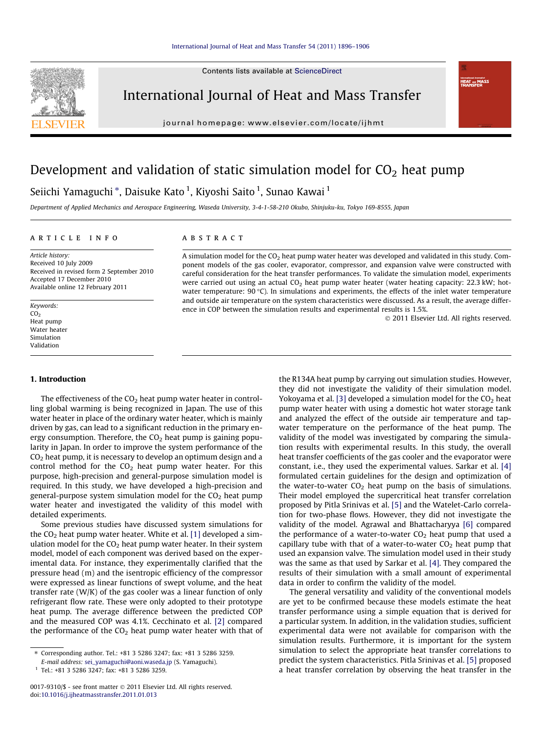Contents lists available at [ScienceDirect](http://www.sciencedirect.com/science/journal/00179310)



International Journal of Heat and Mass Transfer

journal homepage: [www.elsevier.com/locate/ijhmt](http://www.elsevier.com/locate/ijhmt)

# Development and validation of static simulation model for  $CO<sub>2</sub>$  heat pump

## Seiichi Yamaguchi \*, Daisuke Kato <sup>1</sup>, Kiyoshi Saito <sup>1</sup>, Sunao Kawai <sup>1</sup>

Department of Applied Mechanics and Aerospace Engineering, Waseda University, 3-4-1-58-210 Okubo, Shinjuku-ku, Tokyo 169-8555, Japan

### article info

Article history: Received 10 July 2009 Received in revised form 2 September 2010 Accepted 17 December 2010 Available online 12 February 2011

Keywords:  $CO<sub>2</sub>$ Heat pump Water heater Simulation Validation

#### 1. Introduction

The effectiveness of the  $CO<sub>2</sub>$  heat pump water heater in controlling global warming is being recognized in Japan. The use of this water heater in place of the ordinary water heater, which is mainly driven by gas, can lead to a significant reduction in the primary energy consumption. Therefore, the  $CO<sub>2</sub>$  heat pump is gaining popularity in Japan. In order to improve the system performance of the  $CO<sub>2</sub>$  heat pump, it is necessary to develop an optimum design and a control method for the  $CO<sub>2</sub>$  heat pump water heater. For this purpose, high-precision and general-purpose simulation model is required. In this study, we have developed a high-precision and general-purpose system simulation model for the  $CO<sub>2</sub>$  heat pump water heater and investigated the validity of this model with detailed experiments.

Some previous studies have discussed system simulations for the  $CO<sub>2</sub>$  heat pump water heater. White et al. [\[1\]](#page--1-0) developed a simulation model for the  $CO<sub>2</sub>$  heat pump water heater. In their system model, model of each component was derived based on the experimental data. For instance, they experimentally clarified that the pressure head (m) and the isentropic efficiency of the compressor were expressed as linear functions of swept volume, and the heat transfer rate (W/K) of the gas cooler was a linear function of only refrigerant flow rate. These were only adopted to their prototype heat pump. The average difference between the predicted COP and the measured COP was 4.1%. Cecchinato et al. [\[2\]](#page--1-0) compared the performance of the  $CO<sub>2</sub>$  heat pump water heater with that of

### **ABSTRACT**

A simulation model for the  $CO<sub>2</sub>$  heat pump water heater was developed and validated in this study. Component models of the gas cooler, evaporator, compressor, and expansion valve were constructed with careful consideration for the heat transfer performances. To validate the simulation model, experiments were carried out using an actual  $CO<sub>2</sub>$  heat pump water heater (water heating capacity: 22.3 kW; hotwater temperature:  $90 \degree C$ ). In simulations and experiments, the effects of the inlet water temperature and outside air temperature on the system characteristics were discussed. As a result, the average difference in COP between the simulation results and experimental results is 1.5%.

2011 Elsevier Ltd. All rights reserved.

**HEAT** and M

the R134A heat pump by carrying out simulation studies. However, they did not investigate the validity of their simulation model. Yokoyama et al. [\[3\]](#page--1-0) developed a simulation model for the  $CO<sub>2</sub>$  heat pump water heater with using a domestic hot water storage tank and analyzed the effect of the outside air temperature and tapwater temperature on the performance of the heat pump. The validity of the model was investigated by comparing the simulation results with experimental results. In this study, the overall heat transfer coefficients of the gas cooler and the evaporator were constant, i.e., they used the experimental values. Sarkar et al. [\[4\]](#page--1-0) formulated certain guidelines for the design and optimization of the water-to-water  $CO<sub>2</sub>$  heat pump on the basis of simulations. Their model employed the supercritical heat transfer correlation proposed by Pitla Srinivas et al. [\[5\]](#page--1-0) and the Watelet-Carlo correlation for two-phase flows. However, they did not investigate the validity of the model. Agrawal and Bhattacharyya [\[6\]](#page--1-0) compared the performance of a water-to-water  $CO<sub>2</sub>$  heat pump that used a capillary tube with that of a water-to-water  $CO<sub>2</sub>$  heat pump that used an expansion valve. The simulation model used in their study was the same as that used by Sarkar et al. [\[4\].](#page--1-0) They compared the results of their simulation with a small amount of experimental data in order to confirm the validity of the model.

The general versatility and validity of the conventional models are yet to be confirmed because these models estimate the heat transfer performance using a simple equation that is derived for a particular system. In addition, in the validation studies, sufficient experimental data were not available for comparison with the simulation results. Furthermore, it is important for the system simulation to select the appropriate heat transfer correlations to predict the system characteristics. Pitla Srinivas et al. [\[5\]](#page--1-0) proposed a heat transfer correlation by observing the heat transfer in the

<sup>⇑</sup> Corresponding author. Tel.: +81 3 5286 3247; fax: +81 3 5286 3259.

E-mail address: [sei\\_yamaguchi@aoni.waseda.jp](mailto:sei_yamaguchi@aoni.waseda.jp) (S. Yamaguchi).

 $1$  Tel.: +81 3 5286 3247; fax: +81 3 5286 3259.

<sup>0017-9310/\$ -</sup> see front matter © 2011 Elsevier Ltd. All rights reserved. doi:[10.1016/j.ijheatmasstransfer.2011.01.013](http://dx.doi.org/10.1016/j.ijheatmasstransfer.2011.01.013)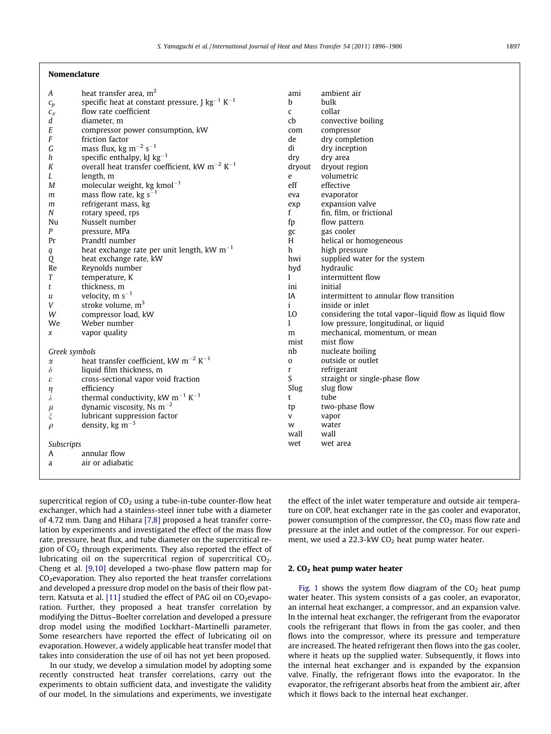#### Nomenclature

| А             | heat transfer area, m <sup>2</sup>                                      | ami          |
|---------------|-------------------------------------------------------------------------|--------------|
| $c_p$         | specific heat at constant pressure, J $\text{kg}^{-1}$ K <sup>-1</sup>  | b            |
| $c_v$         | flow rate coefficient                                                   | C            |
| d             | diameter, m                                                             | cb           |
| E             | compressor power consumption, kW                                        | com          |
| F             | friction factor                                                         | de           |
| G             | mass flux, kg m <sup><math>-2</math></sup> s <sup><math>-1</math></sup> | di           |
| h             | specific enthalpy, kJ $kg^{-1}$                                         | dry          |
| K             | overall heat transfer coefficient, kW $m^{-2}$ K <sup>-1</sup>          | dryout       |
| L             | length, m                                                               | e            |
| М             | molecular weight, kg kmol <sup>-1</sup>                                 | eff          |
| m             | mass flow rate, kg $s^{-1}$                                             | eva          |
| m             | refrigerant mass, kg                                                    | exp          |
| N             | rotary speed, rps                                                       | f            |
| Nu            | Nusselt number                                                          | fp           |
| P             | pressure, MPa                                                           | gc           |
| Pr            | Prandtl number                                                          | H            |
| q             | heat exchange rate per unit length, $kW$ m <sup>-1</sup>                | h            |
| Q             | heat exchange rate, kW                                                  | hwi          |
| Re            | Reynolds number                                                         | hyd          |
| T             | temperature, K                                                          | I            |
| t             | thickness, m                                                            | ini          |
| u             | velocity, $m s^{-1}$                                                    | ΙA           |
| V             | stroke volume, $m3$                                                     | i            |
| W             | compressor load, kW                                                     | LO           |
| We            | Weber number                                                            | 1            |
| x             | vapor quality                                                           | m            |
|               |                                                                         | mist         |
| Greek symbols |                                                                         | nb           |
| α             | heat transfer coefficient, kW m <sup>-2</sup> K <sup>-1</sup>           | 0            |
| $\delta$      | liquid film thickness, m                                                | $\mathbf{r}$ |
| ε             | cross-sectional vapor void fraction                                     | S            |
| η             | efficiency                                                              | Slug         |
| λ             | thermal conductivity, kW $m^{-1}$ K <sup>-1</sup>                       | t            |
| $\mu$         | dynamic viscosity, Ns $m^{-2}$                                          | tp           |
| ξ             | lubricant suppression factor                                            | V            |
| $\rho$        | density, kg $m^{-3}$                                                    | w            |
|               |                                                                         | wall         |
| Subscripts    |                                                                         | wet          |
| A             | annular flow                                                            |              |
| a             | air or adiabatic                                                        |              |
|               |                                                                         |              |

| ami          | ambient air                                            |
|--------------|--------------------------------------------------------|
| b            | bulk                                                   |
| $\mathbf{C}$ | collar                                                 |
| cb           | convective boiling                                     |
| com          | compressor                                             |
| de           | dry completion                                         |
| di           | dry inception                                          |
| dry          | dry area                                               |
| dryout       | dryout region                                          |
| e            | volumetric                                             |
| eff          | effective                                              |
| eva          | evaporator                                             |
|              | expansion valve                                        |
| exp<br>f     | fin, film, or frictional                               |
|              | flow pattern                                           |
| fp           |                                                        |
| gc<br>H      | gas cooler                                             |
|              | helical or homogeneous                                 |
| h.           | high pressure                                          |
| hwi          | supplied water for the system                          |
| hyd          | hydraulic                                              |
| L            | intermittent flow                                      |
| ini          | initial                                                |
| IA           | intermittent to annular flow transition                |
| i            | inside or inlet                                        |
| LΩ           | considering the total vapor-liquid flow as liquid flow |
| 1            | low pressure, longitudinal, or liquid                  |
| m            | mechanical, momentum, or mean                          |
| mist         | mist flow                                              |
| nb           | nucleate boiling                                       |
| $\Omega$     | outside or outlet                                      |
| r            | refrigerant                                            |
| S            | straight or single-phase flow                          |
| Slug         | slug flow                                              |
| t            | tube                                                   |
| tp           | two-phase flow                                         |
| V            | vapor                                                  |
| w            | water                                                  |
| wall         | wall                                                   |
| wet          | wet area                                               |
|              |                                                        |
|              |                                                        |
|              |                                                        |

supercritical region of  $CO<sub>2</sub>$  using a tube-in-tube counter-flow heat exchanger, which had a stainless-steel inner tube with a diameter of 4.72 mm. Dang and Hihara [\[7,8\]](#page--1-0) proposed a heat transfer correlation by experiments and investigated the effect of the mass flow rate, pressure, heat flux, and tube diameter on the supercritical region of  $CO<sub>2</sub>$  through experiments. They also reported the effect of lubricating oil on the supercritical region of supercritical CO<sub>2</sub>. Cheng et al. [\[9,10\]](#page--1-0) developed a two-phase flow pattern map for CO2evaporation. They also reported the heat transfer correlations and developed a pressure drop model on the basis of their flow pat-tern. Katsuta et al. [\[11\]](#page--1-0) studied the effect of PAG oil on  $CO<sub>2</sub>$ evaporation. Further, they proposed a heat transfer correlation by modifying the Dittus–Boelter correlation and developed a pressure drop model using the modified Lockhart–Martinelli parameter. Some researchers have reported the effect of lubricating oil on evaporation. However, a widely applicable heat transfer model that takes into consideration the use of oil has not yet been proposed.

In our study, we develop a simulation model by adopting some recently constructed heat transfer correlations, carry out the experiments to obtain sufficient data, and investigate the validity of our model, In the simulations and experiments, we investigate the effect of the inlet water temperature and outside air temperature on COP, heat exchanger rate in the gas cooler and evaporator, power consumption of the compressor, the  $CO<sub>2</sub>$  mass flow rate and pressure at the inlet and outlet of the compressor. For our experiment, we used a  $22.3$ -kW CO<sub>2</sub> heat pump water heater.

#### 2.  $CO<sub>2</sub>$  heat pump water heater

[Fig. 1](#page--1-0) shows the system flow diagram of the  $CO<sub>2</sub>$  heat pump water heater. This system consists of a gas cooler, an evaporator, an internal heat exchanger, a compressor, and an expansion valve. In the internal heat exchanger, the refrigerant from the evaporator cools the refrigerant that flows in from the gas cooler, and then flows into the compressor, where its pressure and temperature are increased. The heated refrigerant then flows into the gas cooler, where it heats up the supplied water. Subsequently, it flows into the internal heat exchanger and is expanded by the expansion valve. Finally, the refrigerant flows into the evaporator. In the evaporator, the refrigerant absorbs heat from the ambient air, after which it flows back to the internal heat exchanger.